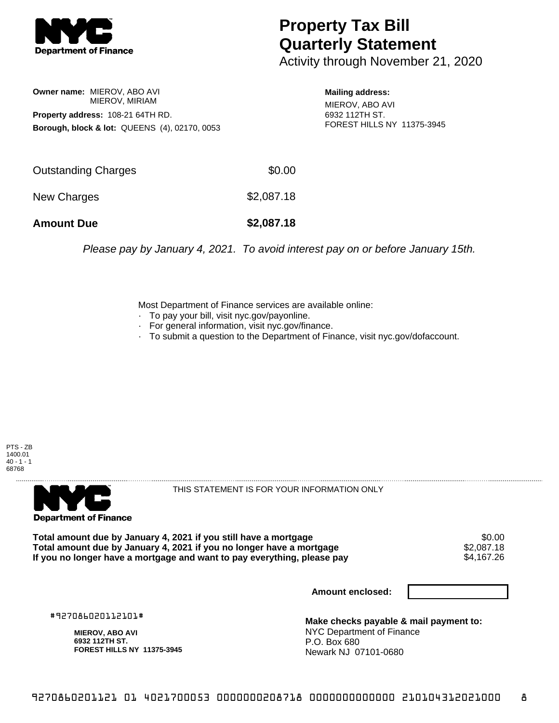

## **Property Tax Bill Quarterly Statement**

Activity through November 21, 2020

**Owner name:** MIEROV, ABO AVI MIEROV, MIRIAM **Property address:** 108-21 64TH RD. **Borough, block & lot:** QUEENS (4), 02170, 0053

**Mailing address:** MIEROV, ABO AVI 6932 112TH ST. FOREST HILLS NY 11375-3945

| <b>Amount Due</b>   | \$2,087.18 |
|---------------------|------------|
| New Charges         | \$2,087.18 |
| Outstanding Charges | \$0.00     |

Please pay by January 4, 2021. To avoid interest pay on or before January 15th.

Most Department of Finance services are available online:

- · To pay your bill, visit nyc.gov/payonline.
- For general information, visit nyc.gov/finance.
- · To submit a question to the Department of Finance, visit nyc.gov/dofaccount.





THIS STATEMENT IS FOR YOUR INFORMATION ONLY

Total amount due by January 4, 2021 if you still have a mortgage \$0.00<br>Total amount due by January 4, 2021 if you no longer have a mortgage \$2.087.18 **Total amount due by January 4, 2021 if you no longer have a mortgage**  $$2,087.18$ **<br>If you no longer have a mortgage and want to pay everything, please pay**  $$4.167.26$ If you no longer have a mortgage and want to pay everything, please pay

**Amount enclosed:**

#927086020112101#

**MIEROV, ABO AVI 6932 112TH ST. FOREST HILLS NY 11375-3945**

**Make checks payable & mail payment to:** NYC Department of Finance P.O. Box 680 Newark NJ 07101-0680